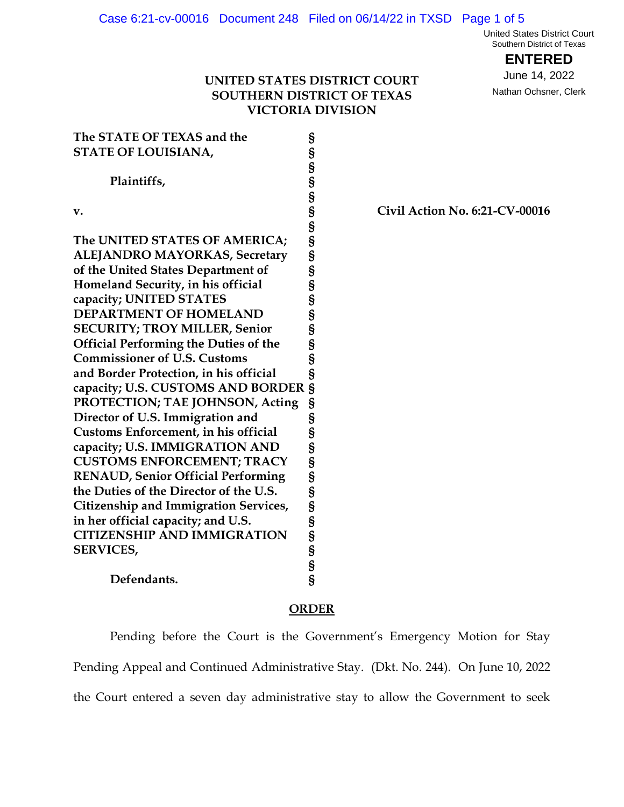United States District Court Southern District of Texas

**ENTERED**

June 14, 2022 Nathan Ochsner, Clerk

## **UNITED STATES DISTRICT COURT SOUTHERN DISTRICT OF TEXAS VICTORIA DIVISION**

| The STATE OF TEXAS and the<br><b>STATE OF LOUISIANA,</b> | §<br>S                          |
|----------------------------------------------------------|---------------------------------|
| Plaintiffs,                                              |                                 |
| v.                                                       |                                 |
| The UNITED STATES OF AMERICA;                            |                                 |
| <b>ALEJANDRO MAYORKAS, Secretary</b>                     |                                 |
| of the United States Department of                       |                                 |
| Homeland Security, in his official                       |                                 |
| capacity; UNITED STATES                                  |                                 |
| <b>DEPARTMENT OF HOMELAND</b>                            |                                 |
| <b>SECURITY; TROY MILLER, Senior</b>                     |                                 |
| <b>Official Performing the Duties of the</b>             |                                 |
| <b>Commissioner of U.S. Customs</b>                      |                                 |
| and Border Protection, in his official                   |                                 |
| capacity; U.S. CUSTOMS AND BORDER                        |                                 |
| PROTECTION; TAE JOHNSON, Acting                          |                                 |
| Director of U.S. Immigration and                         |                                 |
| Customs Enforcement, in his official                     |                                 |
| capacity; U.S. IMMIGRATION AND                           |                                 |
| <b>CUSTOMS ENFORCEMENT; TRACY</b>                        |                                 |
| <b>RENAUD, Senior Official Performing</b>                |                                 |
| the Duties of the Director of the U.S.                   |                                 |
| <b>Citizenship and Immigration Services,</b>             |                                 |
| in her official capacity; and U.S.                       |                                 |
| <b>CITIZENSHIP AND IMMIGRATION</b>                       |                                 |
| <b>SERVICES,</b>                                         | ៃ ១ ៣ ៣ ៣ ៣ ៣ ៣ ៣ ៣ ៣ ៣ ៣ ៣ ៣ ៣ |
|                                                          |                                 |
| Defendants.                                              |                                 |

# **v. § Civil Action No. 6:21-CV-00016**

## **ORDER**

Pending before the Court is the Government's Emergency Motion for Stay Pending Appeal and Continued Administrative Stay. (Dkt. No. 244). On June 10, 2022 the Court entered a seven day administrative stay to allow the Government to seek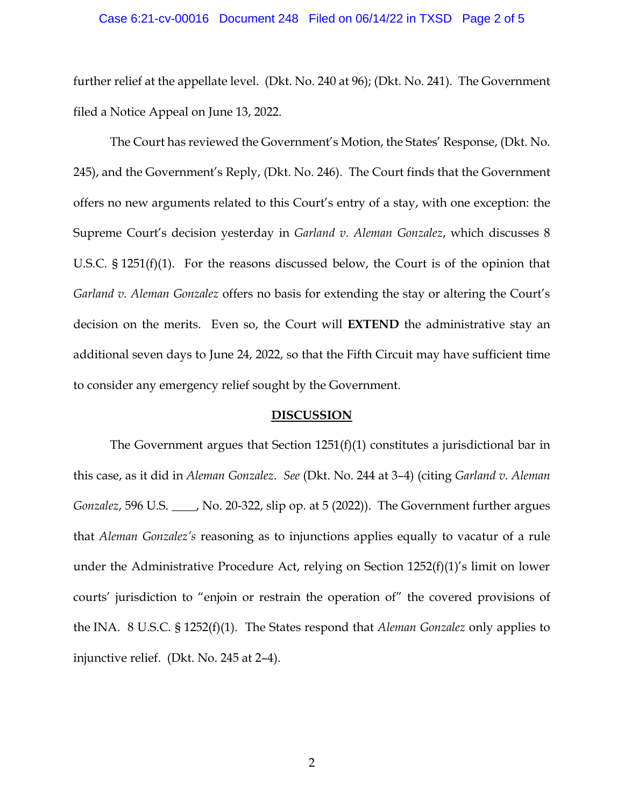## Case 6:21-cv-00016 Document 248 Filed on 06/14/22 in TXSD Page 2 of 5

further relief at the appellate level. (Dkt. No. 240 at 96); (Dkt. No. 241). The Government filed a Notice Appeal on June 13, 2022.

The Court has reviewed the Government's Motion, the States' Response, (Dkt. No. 245), and the Government's Reply, (Dkt. No. 246). The Court finds that the Government offers no new arguments related to this Court's entry of a stay, with one exception: the Supreme Court's decision yesterday in *Garland v. Aleman Gonzalez*, which discusses 8 U.S.C. § 1251(f)(1). For the reasons discussed below, the Court is of the opinion that *Garland v. Aleman Gonzalez* offers no basis for extending the stay or altering the Court's decision on the merits. Even so, the Court will **EXTEND** the administrative stay an additional seven days to June 24, 2022, so that the Fifth Circuit may have sufficient time to consider any emergency relief sought by the Government.

#### **DISCUSSION**

The Government argues that Section  $1251(f)(1)$  constitutes a jurisdictional bar in this case, as it did in *Aleman Gonzalez*. *See* (Dkt. No. 244 at 3–4) (citing *Garland v. Aleman Gonzalez*, 596 U.S. \_\_\_\_, No. 20-322, slip op. at 5 (2022)). The Government further argues that *Aleman Gonzalez's* reasoning as to injunctions applies equally to vacatur of a rule under the Administrative Procedure Act, relying on Section 1252(f)(1)'s limit on lower courts' jurisdiction to "enjoin or restrain the operation of" the covered provisions of the INA. 8 U.S.C. § 1252(f)(1). The States respond that *Aleman Gonzalez* only applies to injunctive relief. (Dkt. No. 245 at 2–4).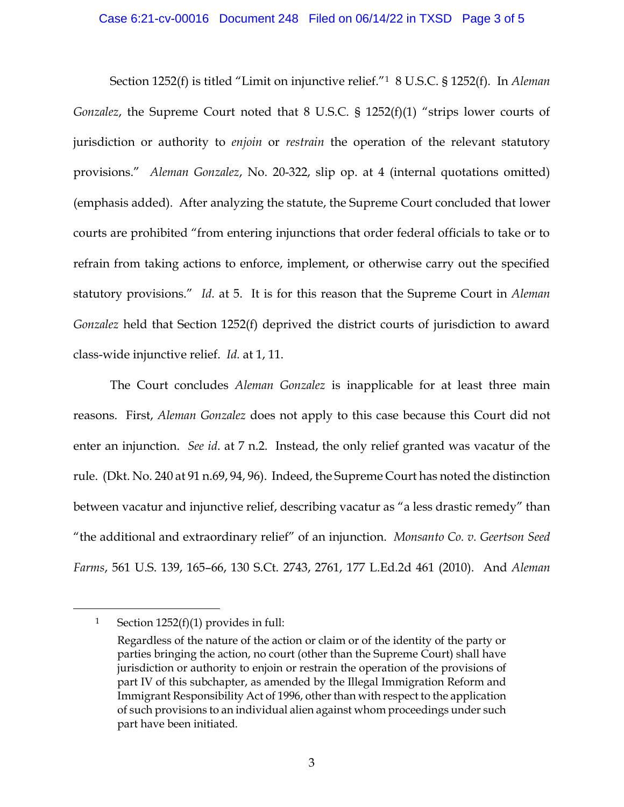## Case 6:21-cv-00016 Document 248 Filed on 06/14/22 in TXSD Page 3 of 5

Section 1252(f) is titled "Limit on injunctive relief."1 8 U.S.C. § 1252(f). In *Aleman Gonzalez*, the Supreme Court noted that 8 U.S.C. § 1252(f)(1) "strips lower courts of jurisdiction or authority to *enjoin* or *restrain* the operation of the relevant statutory provisions." *Aleman Gonzalez*, No. 20-322, slip op. at 4 (internal quotations omitted) (emphasis added). After analyzing the statute, the Supreme Court concluded that lower courts are prohibited "from entering injunctions that order federal officials to take or to refrain from taking actions to enforce, implement, or otherwise carry out the specified statutory provisions." *Id.* at 5. It is for this reason that the Supreme Court in *Aleman Gonzalez* held that Section 1252(f) deprived the district courts of jurisdiction to award class-wide injunctive relief. *Id.* at 1, 11.

The Court concludes *Aleman Gonzalez* is inapplicable for at least three main reasons. First, *Aleman Gonzalez* does not apply to this case because this Court did not enter an injunction. *See id*. at 7 n.2. Instead, the only relief granted was vacatur of the rule. (Dkt. No. 240 at 91 n.69, 94, 96). Indeed, the Supreme Court has noted the distinction between vacatur and injunctive relief, describing vacatur as "a less drastic remedy" than "the additional and extraordinary relief" of an injunction. *Monsanto Co. v. Geertson Seed Farms*, 561 U.S. 139, 165–66, 130 S.Ct. 2743, 2761, 177 L.Ed.2d 461 (2010).And *Aleman* 

<sup>1</sup> Section  $1252(f)(1)$  provides in full:

Regardless of the nature of the action or claim or of the identity of the party or parties bringing the action, no court (other than the Supreme Court) shall have jurisdiction or authority to enjoin or restrain the operation of the provisions of part IV of this subchapter, as amended by the Illegal Immigration Reform and Immigrant Responsibility Act of 1996, other than with respect to the application of such provisions to an individual alien against whom proceedings under such part have been initiated.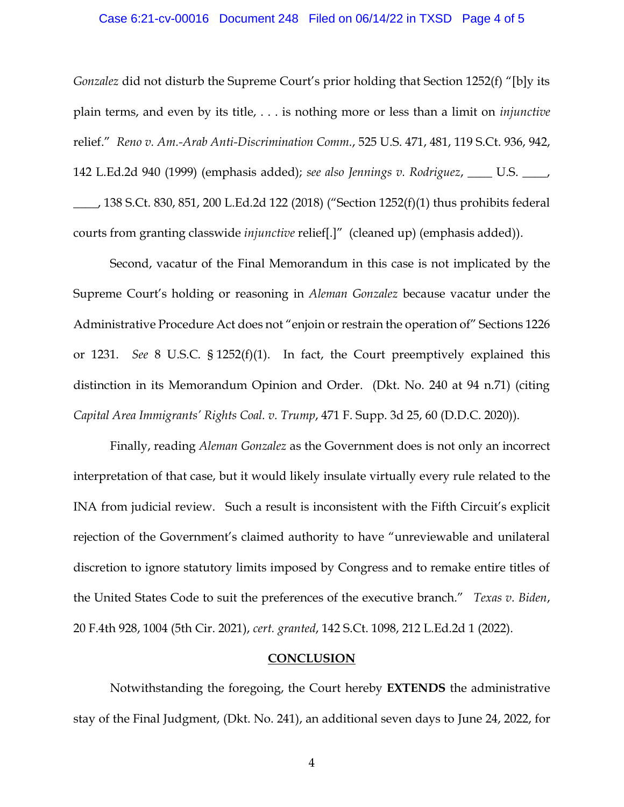## Case 6:21-cv-00016 Document 248 Filed on 06/14/22 in TXSD Page 4 of 5

*Gonzalez* did not disturb the Supreme Court's prior holding that Section 1252(f) "[b]y its plain terms, and even by its title, . . . is nothing more or less than a limit on *injunctive*  relief." *Reno v. Am.-Arab Anti-Discrimination Comm.*, 525 U.S. 471, 481, 119 S.Ct. 936, 942, 142 L.Ed.2d 940 (1999) (emphasis added); *see also Jennings v. Rodriguez*, \_\_\_\_ U.S. \_\_\_\_,  $\_\_\_\_$ , 138 S.Ct. 830, 851, 200 L.Ed.2d 122 (2018) ("Section 1252(f)(1) thus prohibits federal courts from granting classwide *injunctive* relief[.]" (cleaned up) (emphasis added)).

Second, vacatur of the Final Memorandum in this case is not implicated by the Supreme Court's holding or reasoning in *Aleman Gonzalez* because vacatur under the Administrative Procedure Act does not "enjoin or restrain the operation of" Sections 1226 or 1231. *See* 8 U.S.C. § 1252(f)(1). In fact, the Court preemptively explained this distinction in its Memorandum Opinion and Order. (Dkt. No. 240 at 94 n.71) (citing *Capital Area Immigrants' Rights Coal. v. Trump*, 471 F. Supp. 3d 25, 60 (D.D.C. 2020)).

Finally, reading *Aleman Gonzalez* as the Government does is not only an incorrect interpretation of that case, but it would likely insulate virtually every rule related to the INA from judicial review. Such a result is inconsistent with the Fifth Circuit's explicit rejection of the Government's claimed authority to have "unreviewable and unilateral discretion to ignore statutory limits imposed by Congress and to remake entire titles of the United States Code to suit the preferences of the executive branch." *Texas v. Biden*, 20 F.4th 928, 1004 (5th Cir. 2021), *cert. granted*, 142 S.Ct. 1098, 212 L.Ed.2d 1 (2022).

## **CONCLUSION**

Notwithstanding the foregoing, the Court hereby **EXTENDS** the administrative stay of the Final Judgment, (Dkt. No. 241), an additional seven days to June 24, 2022, for

4